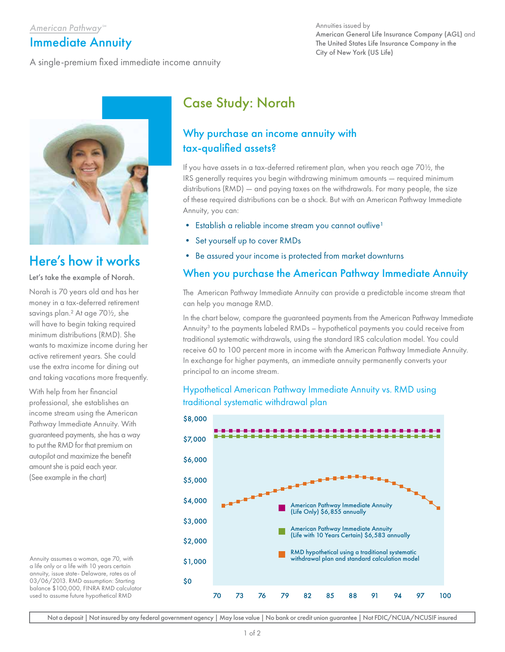### American Pathway<sup>SM</sup>

# Immediate Annuity

A single-premium fixed immediate income annuity

#### Annuities issued by American General Life Insurance Company (AGL) and The United States Life Insurance Company in the City of New York (US Life)



# Here's how it works

#### Let's take the example of Norah.

Norah is 70 years old and has her money in a tax-deferred retirement savings plan.² At age 70½, she will have to begin taking required minimum distributions (RMD). She wants to maximize income during her active retirement years. She could use the extra income for dining out and taking vacations more frequently.

With help from her financial professional, she establishes an income stream using the American Pathway Immediate Annuity. With guaranteed payments, she has a way to put the RMD for that premium on autopilot and maximize the benefit amount she is paid each year. (See example in the chart)

Annuity assumes a woman, age 70, with a life only or a life with 10 years certain annuity, issue state- Delaware, rates as of 03/06/2013. RMD assumption: Starting balance \$100,000, FINRA RMD calculator used to assume future hypothetical RMD

# Case Study: Norah

# Why purchase an income annuity with tax-qualified assets?

If you have assets in a tax-deferred retirement plan, when you reach age 70½, the IRS generally requires you begin withdrawing minimum amounts — required minimum distributions (RMD) — and paying taxes on the withdrawals. For many people, the size of these required distributions can be a shock. But with an American Pathway Immediate Annuity, you can:

- Establish a reliable income stream you cannot outlive<sup>1</sup>
- Set yourself up to cover RMDs
- Be assured your income is protected from market downturns

## When you purchase the American Pathway Immediate Annuity

The American Pathway Immediate Annuity can provide a predictable income stream that can help you manage RMD.

In the chart below, compare the guaranteed payments from the American Pathway Immediate Annuity<sup>3</sup> to the payments labeled RMDs – hypothetical payments you could receive from traditional systematic withdrawals, using the standard IRS calculation model. You could receive 60 to 100 percent more in income with the American Pathway Immediate Annuity. In exchange for higher payments, an immediate annuity permanently converts your principal to an income stream.

## Hypothetical American Pathway Immediate Annuity vs. RMD using traditional systematic withdrawal plan



Not a deposit | Not insured by any federal government agency | May lose value | No bank or credit union guarantee | Not FDIC/NCUA/NCUSIF insured